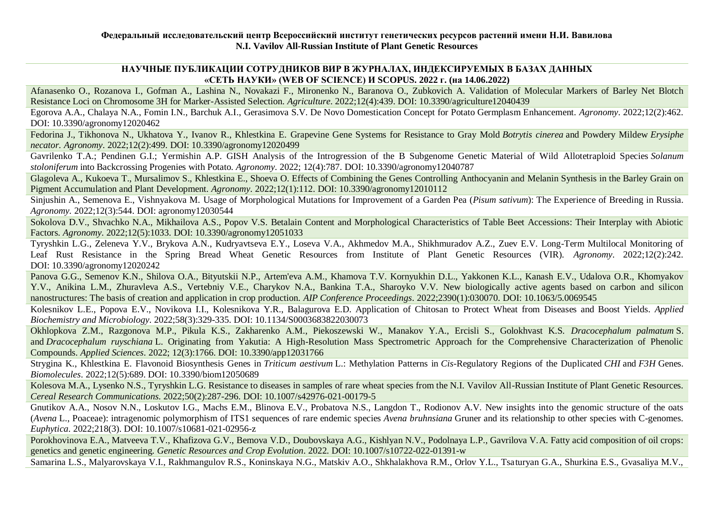# **НАУЧНЫЕ ПУБЛИКАЦИИ СОТРУДНИКОВ ВИР В ЖУРНАЛАХ, ИНДЕКСИРУЕМЫХ В БАЗАХ ДАННЫХ «СЕТЬ НАУКИ» (WEB OF SCIENCE) И SCOPUS. 2022 г. (на 14.06.2022)**

Afanasenko O., Rozanova I., Gofman A., Lashina N., Novakazi F., Mironenko N., Baranova O., Zubkovich A. Validation of Molecular Markers of Barley Net Blotch Resistance Loci on Chromosome 3H for Marker-Assisted Selection. *Agriculture*. 2022;12(4):439. DOI: [10.3390/agriculture12040439](https://doi.org/10.3390/agriculture12040439)

Egorova A.A., Chalaya N.A., Fomin I.N., Barchuk A.I., Gerasimova S.V. De Novo Domestication Concept for Potato Germplasm Enhancement. *Agronomy*. 2022;12(2):462. DOI: [10.3390/agronomy12020462](https://doi.org/10.3390/agronomy12020462)

Fedorina J., Tikhonova N., Ukhatova Y., Ivanov R., Khlestkina E. Grapevine Gene Systems for Resistance to Gray Mold *Botrytis cinerea* and Powdery Mildew *Erysiphe necator. Agronomy*. 2022;12(2):499. DOI: [10.3390/agronomy12020499](https://doi.org/10.3390/agronomy12020499)

Gavrilenko T.A.; Pendinen G.I.; Yermishin A.P. GISH Analysis of the Introgression of the B Subgenome Genetic Material of Wild Allotetraploid Species *Solanum stoloniferum* into Backcrossing Progenies with Potato. *Agronomy*. 2022; 12(4):787. DOI: [10.3390/agronomy12040787](https://doi.org/10.3390/agronomy12040787)

Glagoleva A., Kukoeva T., Mursalimov S., Khlestkina E., Shoeva O. Effects of Combining the Genes Controlling Anthocyanin and Melanin Synthesis in the Barley Grain on Pigment Accumulation and Plant Development. *Agronomy*. 2022;12(1):112. DOI: [10.3390/agronomy12010112](https://doi.org/10.3390/agronomy12010112)

Sinjushin A., Semenova E., Vishnyakova M. Usage of Morphological Mutations for Improvement of a Garden Pea (*Pisum sativum*): The Experience of Breeding in Russia. *Agronomy.* 2022;12(3):544. DOI: [agronomy12030544](https://doi.org/10.3390/agronomy12030544)

Sokolova D.V., Shvachko N.A., Mikhailova A.S., Popov V.S. Betalain Content and Morphological Characteristics of Table Beet Accessions: Their Interplay with Abiotic Factors. *Agronomy*. 2022;12(5):1033. DOI: [10.3390/agronomy12051033](https://doi.org/10.3390/agronomy12051033)

Tyryshkin L.G., Zeleneva Y.V., Brykova A.N., Kudryavtseva E.Y., Loseva V.A., Akhmedov M.A., Shikhmuradov A.Z., Zuev E.V. Long-Term Multilocal Monitoring of Leaf Rust Resistance in the Spring Bread Wheat Genetic Resources from Institute of Plant Genetic Resources (VIR). *Agronomy*. 2022;12(2):242. DOI: [10.3390/agronomy12020242](https://doi.org/10.3390/agronomy12020242)

Panova G.G., Semenov K.N., Shilova O.A., Bityutskii N.P., Artem'eva A.M., Khamova T.V. Kornyukhin D.L., Yakkonen K.L., Kanash E.V., Udalova O.R., Khomyakov Y.V., Anikina L.M., Zhuravleva A.S., Vertebniy V.E., Charykov N.A., Bankina T.A., Sharoyko V.V. New biologically active agents based on carbon and silicon nanostructures: The basis of creation and application in crop production. *AIP Conference Proceedings*. 2022;2390(1):030070. DOI: [10.1063/5.0069545](https://doi.org/10.1063/5.0069545)

Kolesnikov L.E., Popova E.V., Novikova I.I., Kolesnikova Y.R., Balagurova E.D. Application of Chitosan to Protect Wheat from Diseases and Boost Yields. *Applied Biochemistry and Microbiology*. 2022;58(3):329-335. DOI: [10.1134/S0003683822030073](https://link.springer.com/article/10.1134/S0003683822030073#Bib1)

Okhlopkova Z.M., Razgonova M.P., Pikula K.S., Zakharenko A.M., Piekoszewski W., Manakov Y.A., Ercisli S., Golokhvast K.S. *Dracocephalum palmatum* S. and *Dracocephalum ruyschiana* L. Originating from Yakutia: A High-Resolution Mass Spectrometric Approach for the Comprehensive Characterization of Phenolic Compounds. *Applied Sciences*. 2022; 12(3):1766. DOI: [10.3390/app12031766](https://doi.org/10.3390/app12031766)

Strygina K., Khlestkina E. Flavonoid Biosynthesis Genes in *Triticum aestivum* L.: Methylation Patterns in *Cis*-Regulatory Regions of the Duplicated *CHI* and *F3H* Genes. *Biomolecules*. 2022;12(5):689. DOI: [10.3390/biom12050689](https://doi.org/10.3390/biom12050689)

Kolesova M.A., Lysenko N.S., Tyryshkin L.G. Resistance to diseases in samples of rare wheat species from the N.I. Vavilov All-Russian Institute of Plant Genetic Resources. *Cereal Research Communications*. 2022;50(2):287-296. DOI: [10.1007/s42976-021-00179-5](https://doi.org/10.1007/s42976-021-00179-5)

Gnutikov A.A., Nosov N.N., Loskutov I.G., Machs E.M., Blinova E.V., Probatova N.S., Langdon T., Rodionov A.V. New insights into the genomic structure of the oats (*Avena* L., Poaceae): intragenomic polymorphism of ITS1 sequences of rare endemic species *Avena bruhnsiana* Gruner and its relationship to other species with C-genomes. *Euphytica*. 2022;218(3). DOI: [10.1007/s10681-021-02956-z](https://doi.org/10.1007/s10681-021-02956-z)

Porokhovinova E.A., Matveeva T.V., Khafizova G.V., Bemova V.D., Doubovskaya A.G., Kishlyan N.V., Podolnaya L.P., Gavrilova V.A. Fatty acid composition of oil crops: genetics and genetic engineering. *Genetic Resources and Crop Evolution*. 2022. DOI: [10.1007/s10722-022-01391-w](https://doi.org/10.1007/s10722-022-01391-w)

Samarina L.S., Malyarovskaya V.I., Rakhmangulov R.S., Koninskaya N.G., Matskiv A.O., Shkhalakhova R.M., Orlov Y.L., Tsaturyan G.A., Shurkina E.S., Gvasaliya M.V.,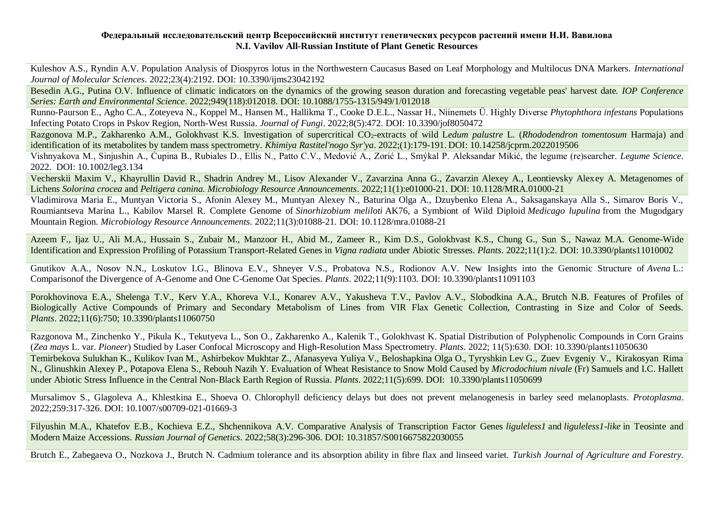### **Федеральный исследовательский центр Всероссийский институт генетических ресурсов растений имени Н.И. Вавилова N.I. Vavilov All-Russian Institute of Plant Genetic Resources**

Kuleshov A.S., Ryndin A.V. Population Analysis of Diospyros lotus in the Northwestern Caucasus Based on Leaf Morphology and Multilocus DNA Markers. *International Journal of Molecular Sciences*. 2022;23(4):2192. DOI: [10.3390/ijms23042192](https://doi.org/10.3390/ijms23042192)

Besedin A.G., Putina O.V. Influence of climatic indicators on the dynamics of the growing season duration and forecasting vegetable peas' harvest date*. IOP Conference Series: Earth and Environmental Science*. 2022;949(118):012018. DOI: [10.1088/1755-1315/949/1/012018](https://iopscience.iop.org/article/10.1088/1755-1315/949/1/012018)

Runno-Paurson E., Agho C.A., Zoteyeva N., Koppel M., Hansen M., Hallikma T., Cooke D.E.L., Nassar H., Niinemets Ü. Highly Diverse *Phytophthora infestans* Populations Infecting Potato Crops in Pskov Region, North-West Russia. *Journal of Fungi*. 2022;8(5):472. DOI: [10.3390/jof8050472](https://doi.org/10.3390/jof8050472)

Razgonova M.P., Zakharenko A.M., Golokhvast K.S. Investigation of supercritical CO<sub>2</sub>-extracts of wild Ledum *palustre* L. (*Rhododendron tomentosum* Harmaja) and identification of its metabolites by tandem mass spectrometry. *Khimiya Rastitel'nogo Syr'ya*. 2022;(1):179-191. DOI: [10.14258/jcprm.2022019506](https://doi.org/10.14258/jcprm.2022019506)

Vishnyakova M., Sinjushin A., Ćupina B., Rubiales D., Ellis N., Patto C.V., Medović A., Zorić L., Smýkal P. Aleksandar Mikić, the legume (re)searcher. *Legume Science*. 2022. DOI: [10.1002/leg3.134](https://doi.org/10.1002/leg3.134)

Vecherskii Maxim V., Khayrullin David R., Shadrin Andrey M., Lisov Alexander V., Zavarzina Anna G., Zavarzin Alexey A., Leontievsky Alexey A. Metagenomes of Lichens *Solorina crocea* and *Peltigera canina. Microbiology Resource Announcements*. 2022;11(1):e01000-21. DOI: [10.1128/MRA.01000-21](https://doi.org/10.1128/MRA.01000-21)

Vladimirova Maria E., Muntyan Victoria S., Afonin Alexey M., Muntyan Alexey N., Baturina Olga A., Dzuybenko Elena A., Saksaganskaya Alla S., Simarov Boris V., Roumiantseva Marina L., Kabilov Marsel R. Complete Genome of *Sinorhizobium meliloti* AK76, a Symbiont of Wild Diploid *Medicago lupulina* from the Mugodgary Mountain Region. *Microbiology Resource Announcements*. 2022;11(3):01088-21. DOI: [10.1128/mra.01088-21](https://doi.org/10.1128/mra.01088-21)

Azeem F., Ijaz U., Ali M.A., Hussain S., Zubair M., Manzoor H., Abid M., Zameer R., Kim D.S., Golokhvast K.S., Chung G., Sun S., Nawaz M.A. Genome-Wide Identification and Expression Profiling of Potassium Transport-Related Genes in *Vigna radiata* under Abiotic Stresses. *Plants*. 2022;11(1):2. DOI: [10.3390/plants11010002](https://www.mdpi.com/2223-7747/11/1/2)

Gnutikov A.A., Nosov N.N., Loskutov I.G., Blinova E.V., Shneyer V.S., Probatova N.S., Rodionov A.V. New Insights into the Genomic Structure of *Avena* L.: Comparisonof the Divergence of A-Genome and One C-Genome Oat Species. *Plants*. 2022;11(9):1103. DOI: [10.3390/plants11091103](https://doi.org/10.3390/plants11091103)

Porokhovinova E.A., Shelenga T.V., Kerv Y.A., Khoreva V.I., Konarev A.V., Yakusheva T.V., Pavlov A.V., Slobodkina A.A., Brutch N.B. Features of Profiles of Biologically Active Compounds of Primary and Secondary Metabolism of Lines from VIR Flax Genetic Collection, Contrasting in Size and Color of Seeds. *Plants*. 2022;11(6):750; [10.3390/plants11060750](https://doi.org/10.3390/plants11060750)

Razgonova M., Zinchenko Y., Pikula K., Tekutyeva L., Son O., Zakharenko A., Kalenik T., Golokhvast K. Spatial Distribution of Polyphenolic Compounds in Corn Grains (*Zea mays* L. var. *Pioneer*) Studied by Laser Confocal Microscopy and High-Resolution Mass Spectrometry. *Plants*. 2022; 11(5):630. DOI: [10.3390/plants11050630](https://doi.org/10.3390/plants11050630)

Temirbekova Sulukhan K., Kulikov Ivan M., Ashirbekov Mukhtar Z., Afanasyeva Yuliya V., Beloshapkina Olga O., Tyryshkin Lev G., Zuev Evgeniy V., Kirakosyan Rima N., Glinushkin Alexey P., Potapova Elena S., Rebouh Nazih Y. Evaluation of Wheat Resistance to Snow Mold Caused by *Microdochium nivale* (Fr) Samuels and I.C. Hallett under Abiotic Stress Influence in the Central Non-Black Earth Region of Russia. *Plants*. 2022;11(5):699. DOI: [10.3390/plants11050699](https://doi.org/10.3390/plants11050699)

Mursalimov S., Glagoleva A., Khlestkina E., Shoeva O. Chlorophyll deficiency delays but does not prevent melanogenesis in barley seed melanoplasts. *Protoplasma*. 2022;259:317-326. DOI: [10.1007/s00709-021-01669-3](https://doi.org/10.1007/s00709-021-01669-3)

Filyushin M.A., Khatefov E.B., Kochieva E.Z., Shchennikova A.V. Comparative Analysis of Transcription Factor Genes *liguleless1* and *liguleless1-like* in Teosinte and Modern Maize Accessions. *Russian Journal of Genetics*. 2022;58(3):296-306. DOI: [10.31857/S0016675822030055](https://doi.org/10.31857/S0016675822030055)

Brutch E., Zabegaeva O., Nozkova J., Brutch N. Cadmium tolerance and its absorption ability in fibre flax and linseed variet. *Turkish Journal of Agriculture and Forestry*.